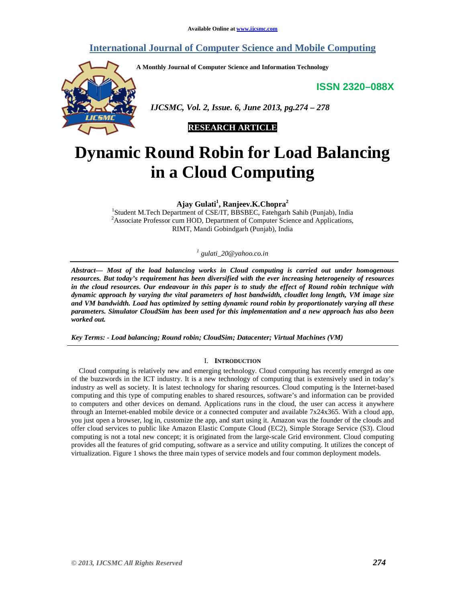# **International Journal of Computer Science and Mobile Computing**

**A Monthly Journal of Computer Science and Information Technology** 

**ISSN 2320–088X**



 *IJCSMC, Vol. 2, Issue. 6, June 2013, pg.274 – 278* 



# **Dynamic Round Robin for Load Balancing in a Cloud Computing**

**Ajay Gulati<sup>1</sup> , Ranjeev.K.Chopra<sup>2</sup>**

<sup>1</sup>Student M.Tech Department of CSE/IT, BBSBEC, Fatehgarh Sahib (Punjab), India <sup>2</sup>Associate Professor cum HOD, Department of Computer Science and Applications, RIMT, Mandi Gobindgarh (Punjab), India

*1 gulati\_20@yahoo.co.in*

*Abstract— Most of the load balancing works in Cloud computing is carried out under homogenous resources. But today's requirement has been diversified with the ever increasing heterogeneity of resources in the cloud resources. Our endeavour in this paper is to study the effect of Round robin technique with dynamic approach by varying the vital parameters of host bandwidth, cloudlet long length, VM image size and VM bandwidth. Load has optimized by setting dynamic round robin by proportionately varying all these parameters. Simulator CloudSim has been used for this implementation and a new approach has also been worked out.* 

*Key Terms: - Load balancing; Round robin; CloudSim; Datacenter; Virtual Machines (VM)* 

# I. **INTRODUCTION**

Cloud computing is relatively new and emerging technology. Cloud computing has recently emerged as one of the buzzwords in the ICT industry. It is a new technology of computing that is extensively used in today's industry as well as society. It is latest technology for sharing resources. Cloud computing is the Internet-based computing and this type of computing enables to shared resources, software's and information can be provided to computers and other devices on demand. Applications runs in the cloud, the user can access it anywhere through an Internet-enabled mobile device or a connected computer and available 7x24x365. With a cloud app, you just open a browser, log in, customize the app, and start using it. Amazon was the founder of the clouds and offer cloud services to public like Amazon Elastic Compute Cloud (EC2), Simple Storage Service (S3). Cloud computing is not a total new concept; it is originated from the large-scale Grid environment. Cloud computing provides all the features of grid computing, software as a service and utility computing. It utilizes the concept of virtualization. Figure 1 shows the three main types of service models and four common deployment models.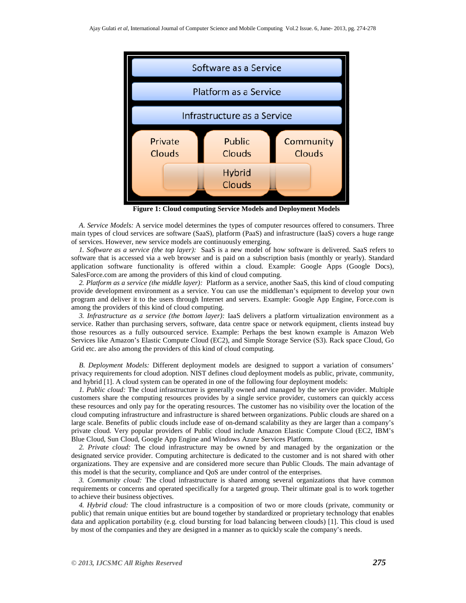

**Figure 1: Cloud computing Service Models and Deployment Models** 

*A. Service Models:* A service model determines the types of computer resources offered to consumers. Three main types of cloud services are software (SaaS), platform (PaaS) and infrastructure (IaaS) covers a huge range of services. However, new service models are continuously emerging.

*1. Software as a service (the top layer):* SaaS is a new model of how software is delivered. SaaS refers to software that is accessed via a web browser and is paid on a subscription basis (monthly or yearly). Standard application software functionality is offered within a cloud. Example: Google Apps (Google Docs), SalesForce.com are among the providers of this kind of cloud computing.

*2. Platform as a service (the middle layer):* Platform as a service, another SaaS, this kind of cloud computing provide development environment as a service. You can use the middleman's equipment to develop your own program and deliver it to the users through Internet and servers. Example: Google App Engine, Force.com is among the providers of this kind of cloud computing.

*3. Infrastructure as a service (the bottom layer):* IaaS delivers a platform virtualization environment as a service. Rather than purchasing servers, software, data centre space or network equipment, clients instead buy those resources as a fully outsourced service. Example: Perhaps the best known example is Amazon Web Services like Amazon's Elastic Compute Cloud (EC2), and Simple Storage Service (S3). Rack space Cloud, Go Grid etc. are also among the providers of this kind of cloud computing.

*B. Deployment Models:* Different deployment models are designed to support a variation of consumers' privacy requirements for cloud adoption. NIST defines cloud deployment models as public, private, community, and hybrid [1]. A cloud system can be operated in one of the following four deployment models:

*1. Public cloud:* The cloud infrastructure is generally owned and managed by the service provider. Multiple customers share the computing resources provides by a single service provider, customers can quickly access these resources and only pay for the operating resources. The customer has no visibility over the location of the cloud computing infrastructure and infrastructure is shared between organizations. Public clouds are shared on a large scale. Benefits of public clouds include ease of on-demand scalability as they are larger than a company's private cloud. Very popular providers of Public cloud include Amazon Elastic Compute Cloud (EC2, IBM's Blue Cloud, Sun Cloud, Google App Engine and Windows Azure Services Platform.

*2. Private cloud:* The cloud infrastructure may be owned by and managed by the organization or the designated service provider. Computing architecture is dedicated to the customer and is not shared with other organizations. They are expensive and are considered more secure than Public Clouds. The main advantage of this model is that the security, compliance and QoS are under control of the enterprises.

*3. Community cloud:* The cloud infrastructure is shared among several organizations that have common requirements or concerns and operated specifically for a targeted group. Their ultimate goal is to work together to achieve their business objectives.

*4. Hybrid cloud:* The cloud infrastructure is a composition of two or more clouds (private, community or public) that remain unique entities but are bound together by standardized or proprietary technology that enables data and application portability (e.g. cloud bursting for load balancing between clouds) [1]. This cloud is used by most of the companies and they are designed in a manner as to quickly scale the company's needs.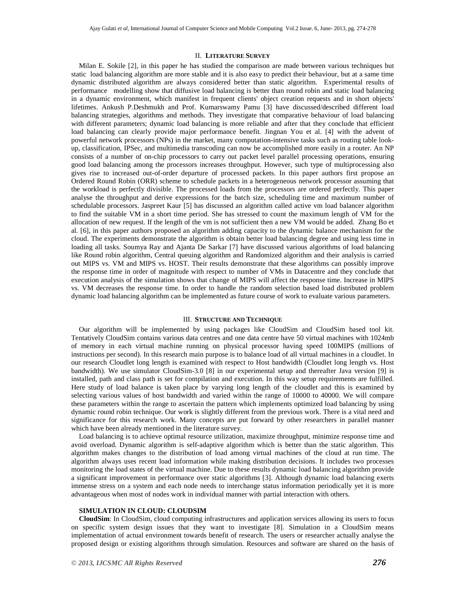## II. **LITERATURE SURVEY**

Milan E. Sokile [2], in this paper he has studied the comparison are made between various techniques but static load balancing algorithm are more stable and it is also easy to predict their behaviour, but at a same time dynamic distributed algorithm are always considered better than static algorithm. Experimental results of performance modelling show that diffusive load balancing is better than round robin and static load balancing in a dynamic environment, which manifest in frequent clients' object creation requests and in short objects' lifetimes. Ankush P.Deshmukh and Prof. Kumarswamy Pamu [3] have discussed/described different load balancing strategies, algorithms and methods. They investigate that comparative behaviour of load balancing with different parameters; dynamic load balancing is more reliable and after that they conclude that efficient load balancing can clearly provide major performance benefit. Jingnan You et al. [4] with the advent of powerful network processors (NPs) in the market, many computation-intensive tasks such as routing table lookup, classification, IPSec, and multimedia transcoding can now be accomplished more easily in a router. An NP consists of a number of on-chip processors to carry out packet level parallel processing operations, ensuring good load balancing among the processors increases throughput. However, such type of multiprocessing also gives rise to increased out-of-order departure of processed packets. In this paper authors first propose an Ordered Round Robin (ORR) scheme to schedule packets in a heterogeneous network processor assuming that the workload is perfectly divisible. The processed loads from the processors are ordered perfectly. This paper analyse the throughput and derive expressions for the batch size, scheduling time and maximum number of schedulable processors. Jaspreet Kaur [5] has discussed an algorithm called active vm load balancer algorithm to find the suitable VM in a short time period. She has stressed to count the maximum length of VM for the allocation of new request. If the length of the vm is not sufficient then a new VM would be added. Zhang Bo et al. [6], in this paper authors proposed an algorithm adding capacity to the dynamic balance mechanism for the cloud. The experiments demonstrate the algorithm is obtain better load balancing degree and using less time in loading all tasks. Soumya Ray and Ajanta De Sarkar [7] have discussed various algorithms of load balancing like Round robin algorithm, Central queuing algorithm and Randomized algorithm and their analysis is carried out MIPS vs. VM and MIPS vs. HOST. Their results demonstrate that these algorithms can possibly improve the response time in order of magnitude with respect to number of VMs in Datacentre and they conclude that execution analysis of the simulation shows that change of MIPS will affect the response time. Increase in MIPS vs. VM decreases the response time. In order to handle the random selection based load distributed problem dynamic load balancing algorithm can be implemented as future course of work to evaluate various parameters.

#### III. **STRUCTURE AND TECHNIQUE**

Our algorithm will be implemented by using packages like CloudSim and CloudSim based tool kit. Tentatively CloudSim contains various data centres and one data centre have 50 virtual machines with 1024mb of memory in each virtual machine running on physical processor having speed 100MIPS (millions of instructions per second). In this research main purpose is to balance load of all virtual machines in a cloudlet. In our research Cloudlet long length is examined with respect to Host bandwidth (Cloudlet long length vs. Host bandwidth). We use simulator CloudSim-3.0 [8] in our experimental setup and thereafter Java version [9] is installed, path and class path is set for compilation and execution. In this way setup requirements are fulfilled. Here study of load balance is taken place by varying long length of the cloudlet and this is examined by selecting various values of host bandwidth and varied within the range of 10000 to 40000. We will compare these parameters within the range to ascertain the pattern which implements optimized load balancing by using dynamic round robin technique. Our work is slightly different from the previous work. There is a vital need and significance for this research work. Many concepts are put forward by other researchers in parallel manner which have been already mentioned in the literature survey.

Load balancing is to achieve optimal resource utilization, maximize throughput, minimize response time and avoid overload. Dynamic algorithm is self-adaptive algorithm which is better than the static algorithm. This algorithm makes changes to the distribution of load among virtual machines of the cloud at run time. The algorithm always uses recent load information while making distribution decisions. It includes two processes monitoring the load states of the virtual machine. Due to these results dynamic load balancing algorithm provide a significant improvement in performance over static algorithms [3]. Although dynamic load balancing exerts immense stress on a system and each node needs to interchange status information periodically yet it is more advantageous when most of nodes work in individual manner with partial interaction with others.

# **SIMULATION IN CLOUD: CLOUDSIM**

**CloudSim**: In CloudSim, cloud computing infrastructures and application services allowing its users to focus on specific system design issues that they want to investigate [8]. Simulation in a CloudSim means implementation of actual environment towards benefit of research. The users or researcher actually analyse the proposed design or existing algorithms through simulation. Resources and software are shared on the basis of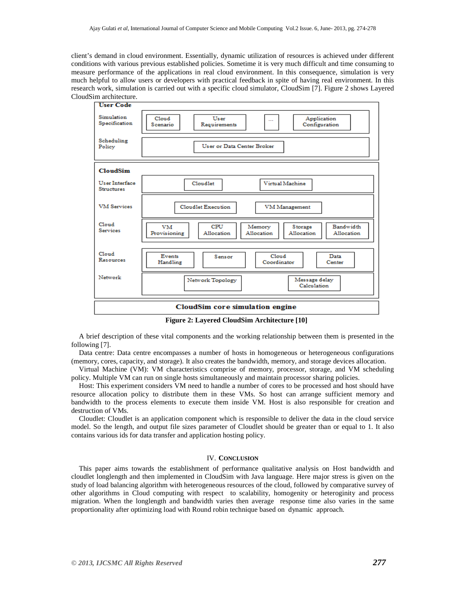client's demand in cloud environment. Essentially, dynamic utilization of resources is achieved under different conditions with various previous established policies. Sometime it is very much difficult and time consuming to measure performance of the applications in real cloud environment. In this consequence, simulation is very much helpful to allow users or developers with practical feedback in spite of having real environment. In this research work, simulation is carried out with a specific cloud simulator, CloudSim [7]. Figure 2 shows Layered CloudSim architecture.



**Figure 2: Layered CloudSim Architecture [10]** 

A brief description of these vital components and the working relationship between them is presented in the following [7].

Data centre: Data centre encompasses a number of hosts in homogeneous or heterogeneous configurations (memory, cores, capacity, and storage). It also creates the bandwidth, memory, and storage devices allocation.

Virtual Machine (VM): VM characteristics comprise of memory, processor, storage, and VM scheduling policy. Multiple VM can run on single hosts simultaneously and maintain processor sharing policies.

Host: This experiment considers VM need to handle a number of cores to be processed and host should have resource allocation policy to distribute them in these VMs. So host can arrange sufficient memory and bandwidth to the process elements to execute them inside VM. Host is also responsible for creation and destruction of VMs.

Cloudlet: Cloudlet is an application component which is responsible to deliver the data in the cloud service model. So the length, and output file sizes parameter of Cloudlet should be greater than or equal to 1. It also contains various ids for data transfer and application hosting policy.

# IV. **CONCLUSION**

This paper aims towards the establishment of performance qualitative analysis on Host bandwidth and cloudlet longlength and then implemented in CloudSim with Java language. Here major stress is given on the study of load balancing algorithm with heterogeneous resources of the cloud, followed by comparative survey of other algorithms in Cloud computing with respect to scalability, homogenity or heteroginity and process migration. When the longlength and bandwidth varies then average response time also varies in the same proportionality after optimizing load with Round robin technique based on dynamic approach.